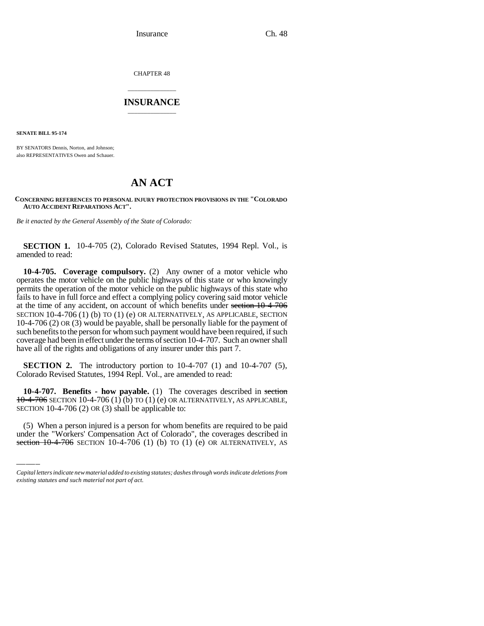CHAPTER 48

## \_\_\_\_\_\_\_\_\_\_\_\_\_\_\_ **INSURANCE** \_\_\_\_\_\_\_\_\_\_\_\_\_\_\_

**SENATE BILL 95-174**

BY SENATORS Dennis, Norton, and Johnson; also REPRESENTATIVES Owen and Schauer.

# **AN ACT**

#### **CONCERNING REFERENCES TO PERSONAL INJURY PROTECTION PROVISIONS IN THE "COLORADO AUTO ACCIDENT REPARATIONS ACT".**

*Be it enacted by the General Assembly of the State of Colorado:*

**SECTION 1.** 10-4-705 (2), Colorado Revised Statutes, 1994 Repl. Vol., is amended to read:

**10-4-705. Coverage compulsory.** (2) Any owner of a motor vehicle who operates the motor vehicle on the public highways of this state or who knowingly permits the operation of the motor vehicle on the public highways of this state who fails to have in full force and effect a complying policy covering said motor vehicle at the time of any accident, on account of which benefits under section 10-4-706 SECTION 10-4-706 (1) (b) TO (1) (e) OR ALTERNATIVELY, AS APPLICABLE, SECTION 10-4-706 (2) OR (3) would be payable, shall be personally liable for the payment of such benefits to the person for whom such payment would have been required, if such coverage had been in effect under the terms of section 10-4-707. Such an owner shall have all of the rights and obligations of any insurer under this part 7.

**SECTION 2.** The introductory portion to 10-4-707 (1) and 10-4-707 (5), Colorado Revised Statutes, 1994 Repl. Vol., are amended to read:

SECTION 10-4-706 (2) OR (3) shall be applicable to: **10-4-707. Benefits - how payable.** (1) The coverages described in section  $10-4-706$  SECTION 10-4-706 (1) (b) TO (1) (e) OR ALTERNATIVELY, AS APPLICABLE,

(5) When a person injured is a person for whom benefits are required to be paid under the "Workers' Compensation Act of Colorado", the coverages described in section  $10$ -4-706 SECTION 10-4-706 (1) (b) TO (1) (e) OR ALTERNATIVELY, AS

*Capital letters indicate new material added to existing statutes; dashes through words indicate deletions from existing statutes and such material not part of act.*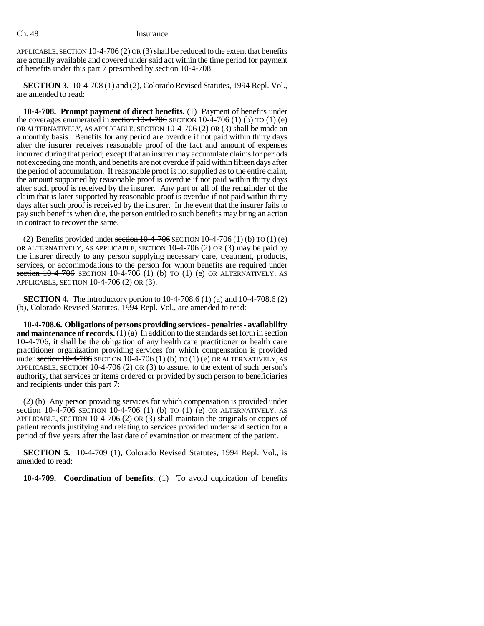APPLICABLE, SECTION 10-4-706 (2) OR (3) shall be reduced to the extent that benefits are actually available and covered under said act within the time period for payment of benefits under this part 7 prescribed by section 10-4-708.

**SECTION 3.** 10-4-708 (1) and (2), Colorado Revised Statutes, 1994 Repl. Vol., are amended to read:

**10-4-708. Prompt payment of direct benefits.** (1) Payment of benefits under the coverages enumerated in section  $10-4-706$  SECTION 10-4-706 (1) (b) TO (1) (e) OR ALTERNATIVELY, AS APPLICABLE, SECTION 10-4-706 (2) OR (3) shall be made on a monthly basis. Benefits for any period are overdue if not paid within thirty days after the insurer receives reasonable proof of the fact and amount of expenses incurred during that period; except that an insurer may accumulate claims for periods not exceeding one month, and benefits are not overdue if paid within fifteen days after the period of accumulation. If reasonable proof is not supplied as to the entire claim, the amount supported by reasonable proof is overdue if not paid within thirty days after such proof is received by the insurer. Any part or all of the remainder of the claim that is later supported by reasonable proof is overdue if not paid within thirty days after such proof is received by the insurer. In the event that the insurer fails to pay such benefits when due, the person entitled to such benefits may bring an action in contract to recover the same.

(2) Benefits provided under section  $10-4-706$  SECTION 10-4-706 (1) (b) TO (1) (e) OR ALTERNATIVELY, AS APPLICABLE, SECTION 10-4-706 (2) OR (3) may be paid by the insurer directly to any person supplying necessary care, treatment, products, services, or accommodations to the person for whom benefits are required under section  $10$ -4-706 SECTION 10-4-706 (1) (b) TO (1) (e) OR ALTERNATIVELY, AS APPLICABLE, SECTION 10-4-706 (2) OR (3).

**SECTION 4.** The introductory portion to 10-4-708.6 (1) (a) and 10-4-708.6 (2) (b), Colorado Revised Statutes, 1994 Repl. Vol., are amended to read:

**10-4-708.6. Obligations of persons providing services - penalties - availability and maintenance of records.** (1) (a) In addition to the standards set forth in section 10-4-706, it shall be the obligation of any health care practitioner or health care practitioner organization providing services for which compensation is provided under section  $10-4-706$  SECTION  $10-4-706$  (1) (b) TO (1) (e) OR ALTERNATIVELY, AS APPLICABLE, SECTION 10-4-706 (2) OR (3) to assure, to the extent of such person's authority, that services or items ordered or provided by such person to beneficiaries and recipients under this part 7:

(2) (b) Any person providing services for which compensation is provided under section  $10-4-706$  SECTION 10-4-706 (1) (b) TO (1) (e) OR ALTERNATIVELY, AS APPLICABLE, SECTION 10-4-706 (2) OR (3) shall maintain the originals or copies of patient records justifying and relating to services provided under said section for a period of five years after the last date of examination or treatment of the patient.

**SECTION 5.** 10-4-709 (1), Colorado Revised Statutes, 1994 Repl. Vol., is amended to read:

**10-4-709. Coordination of benefits.** (1) To avoid duplication of benefits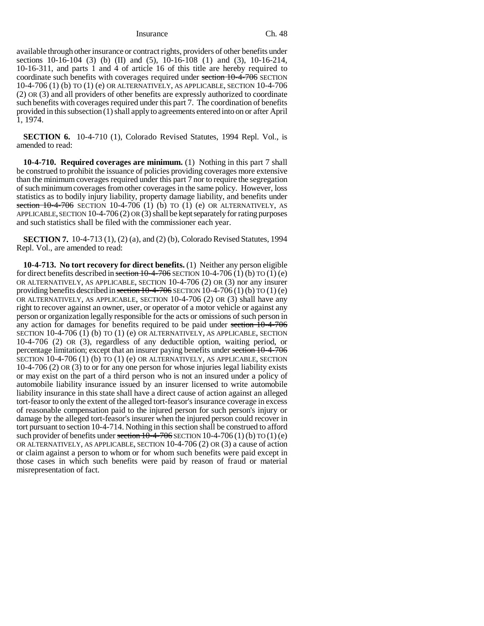Insurance Ch. 48

available through other insurance or contract rights, providers of other benefits under sections 10-16-104 (3) (b) (II) and (5), 10-16-108 (1) and (3), 10-16-214, 10-16-311, and parts 1 and 4 of article 16 of this title are hereby required to coordinate such benefits with coverages required under section 10-4-706 SECTION 10-4-706 (1) (b) TO (1) (e) OR ALTERNATIVELY, AS APPLICABLE, SECTION 10-4-706 (2) OR (3) and all providers of other benefits are expressly authorized to coordinate such benefits with coverages required under this part 7. The coordination of benefits provided in this subsection (1) shall apply to agreements entered into on or after April 1, 1974.

**SECTION 6.** 10-4-710 (1), Colorado Revised Statutes, 1994 Repl. Vol., is amended to read:

**10-4-710. Required coverages are minimum.** (1) Nothing in this part 7 shall be construed to prohibit the issuance of policies providing coverages more extensive than the minimum coverages required under this part 7 nor to require the segregation of such minimum coverages from other coverages in the same policy. However, loss statistics as to bodily injury liability, property damage liability, and benefits under section  $10-4-706$  SECTION 10-4-706 (1) (b) TO (1) (e) OR ALTERNATIVELY, AS APPLICABLE, SECTION 10-4-706 (2) OR (3) shall be kept separately for rating purposes and such statistics shall be filed with the commissioner each year.

**SECTION 7.** 10-4-713 (1), (2) (a), and (2) (b), Colorado Revised Statutes, 1994 Repl. Vol., are amended to read:

**10-4-713. No tort recovery for direct benefits.** (1) Neither any person eligible for direct benefits described in section  $10-4-706$  SECTION 10-4-706 (1) (b) TO (1) (e) OR ALTERNATIVELY, AS APPLICABLE, SECTION 10-4-706 (2) OR (3) nor any insurer providing benefits described in section  $10-4-706$  SECTION  $10-4-706$  (1) (b) TO (1) (e) OR ALTERNATIVELY, AS APPLICABLE, SECTION 10-4-706 (2) OR (3) shall have any right to recover against an owner, user, or operator of a motor vehicle or against any person or organization legally responsible for the acts or omissions of such person in any action for damages for benefits required to be paid under section  $\overline{10-4-706}$ SECTION 10-4-706 (1) (b) TO (1) (e) OR ALTERNATIVELY, AS APPLICABLE, SECTION 10-4-706 (2) OR (3), regardless of any deductible option, waiting period, or percentage limitation; except that an insurer paying benefits under section 10-4-706 SECTION 10-4-706 (1) (b) TO (1) (e) OR ALTERNATIVELY, AS APPLICABLE, SECTION 10-4-706 (2) OR (3) to or for any one person for whose injuries legal liability exists or may exist on the part of a third person who is not an insured under a policy of automobile liability insurance issued by an insurer licensed to write automobile liability insurance in this state shall have a direct cause of action against an alleged tort-feasor to only the extent of the alleged tort-feasor's insurance coverage in excess of reasonable compensation paid to the injured person for such person's injury or damage by the alleged tort-feasor's insurer when the injured person could recover in tort pursuant to section 10-4-714. Nothing in this section shall be construed to afford such provider of benefits under section  $10-4-706$  SECTION  $10-4-706(1)$  (b) TO  $(1)$  (e) OR ALTERNATIVELY, AS APPLICABLE, SECTION 10-4-706 (2) OR (3) a cause of action or claim against a person to whom or for whom such benefits were paid except in those cases in which such benefits were paid by reason of fraud or material misrepresentation of fact.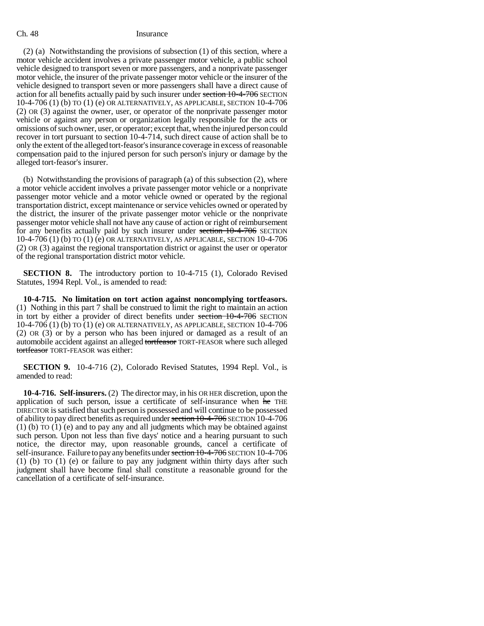### Ch. 48 Insurance

(2) (a) Notwithstanding the provisions of subsection (1) of this section, where a motor vehicle accident involves a private passenger motor vehicle, a public school vehicle designed to transport seven or more passengers, and a nonprivate passenger motor vehicle, the insurer of the private passenger motor vehicle or the insurer of the vehicle designed to transport seven or more passengers shall have a direct cause of action for all benefits actually paid by such insurer under section 10-4-706 SECTION 10-4-706 (1) (b) TO (1) (e) OR ALTERNATIVELY, AS APPLICABLE, SECTION 10-4-706 (2) OR (3) against the owner, user, or operator of the nonprivate passenger motor vehicle or against any person or organization legally responsible for the acts or omissions of such owner, user, or operator; except that, when the injured person could recover in tort pursuant to section 10-4-714, such direct cause of action shall be to only the extent of the alleged tort-feasor's insurance coverage in excess of reasonable compensation paid to the injured person for such person's injury or damage by the alleged tort-feasor's insurer.

(b) Notwithstanding the provisions of paragraph (a) of this subsection (2), where a motor vehicle accident involves a private passenger motor vehicle or a nonprivate passenger motor vehicle and a motor vehicle owned or operated by the regional transportation district, except maintenance or service vehicles owned or operated by the district, the insurer of the private passenger motor vehicle or the nonprivate passenger motor vehicle shall not have any cause of action or right of reimbursement for any benefits actually paid by such insurer under section 10-4-706 SECTION 10-4-706 (1) (b) TO (1) (e) OR ALTERNATIVELY, AS APPLICABLE, SECTION 10-4-706 (2) OR (3) against the regional transportation district or against the user or operator of the regional transportation district motor vehicle.

**SECTION 8.** The introductory portion to 10-4-715 (1), Colorado Revised Statutes, 1994 Repl. Vol., is amended to read:

**10-4-715. No limitation on tort action against noncomplying tortfeasors.** (1) Nothing in this part 7 shall be construed to limit the right to maintain an action in tort by either a provider of direct benefits under section 10-4-706 SECTION 10-4-706 (1) (b) TO (1) (e) OR ALTERNATIVELY, AS APPLICABLE, SECTION 10-4-706 (2) OR (3) or by a person who has been injured or damaged as a result of an automobile accident against an alleged tortfeasor TORT-FEASOR where such alleged tortfeasor TORT-FEASOR was either:

**SECTION 9.** 10-4-716 (2), Colorado Revised Statutes, 1994 Repl. Vol., is amended to read:

**10-4-716. Self-insurers.** (2) The director may, in his OR HER discretion, upon the application of such person, issue a certificate of self-insurance when he THE DIRECTOR is satisfied that such person is possessed and will continue to be possessed of ability to pay direct benefits as required under section 10-4-706 SECTION 10-4-706 (1) (b) TO (1) (e) and to pay any and all judgments which may be obtained against such person. Upon not less than five days' notice and a hearing pursuant to such notice, the director may, upon reasonable grounds, cancel a certificate of self-insurance. Failure to pay any benefits under section 10-4-706 SECTION 10-4-706 (1) (b) TO (1) (e) or failure to pay any judgment within thirty days after such judgment shall have become final shall constitute a reasonable ground for the cancellation of a certificate of self-insurance.